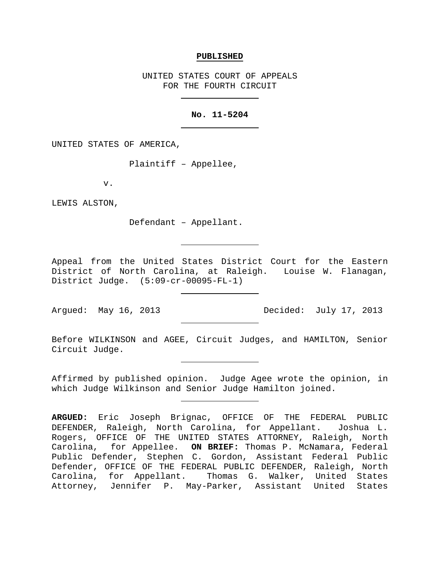#### **PUBLISHED**

UNITED STATES COURT OF APPEALS FOR THE FOURTH CIRCUIT

# **No. 11-5204**

UNITED STATES OF AMERICA,

Plaintiff – Appellee,

v.

LEWIS ALSTON,

Defendant – Appellant.

Appeal from the United States District Court for the Eastern District of North Carolina, at Raleigh. Louise W. Flanagan, District Judge. (5:09-cr-00095-FL-1)

Argued: May 16, 2013 Decided: July 17, 2013

Before WILKINSON and AGEE, Circuit Judges, and HAMILTON, Senior Circuit Judge.

Affirmed by published opinion. Judge Agee wrote the opinion, in which Judge Wilkinson and Senior Judge Hamilton joined.

**ARGUED:** Eric Joseph Brignac, OFFICE OF THE FEDERAL PUBLIC DEFENDER, Raleigh, North Carolina, for Appellant. Joshua L. Rogers, OFFICE OF THE UNITED STATES ATTORNEY, Raleigh, North<br>Carolina, for Appellee. ON BRIEF: Thomas P. McNamara, Federal for Appellee. ON BRIEF: Thomas P. McNamara, Federal Public Defender, Stephen C. Gordon, Assistant Federal Public Defender, OFFICE OF THE FEDERAL PUBLIC DEFENDER, Raleigh, North Carolina, for Appellant. Thomas G. Walker, United States Attorney, Jennifer P. May-Parker, Assistant United States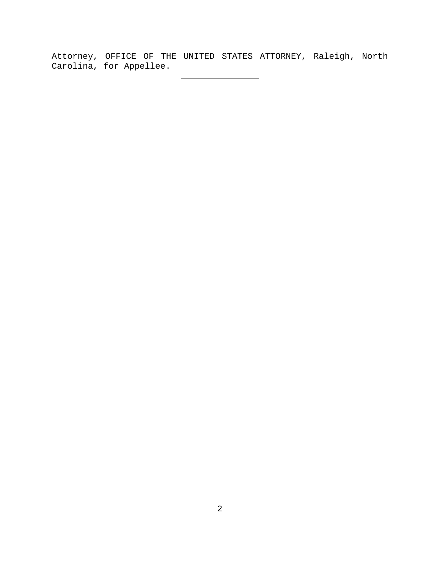Attorney, OFFICE OF THE UNITED STATES ATTORNEY, Raleigh, North Carolina, for Appellee.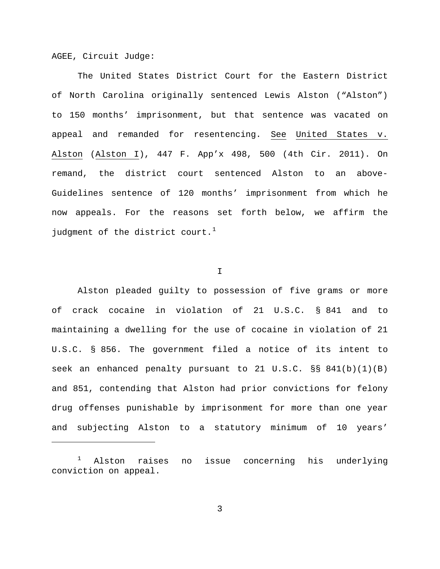AGEE, Circuit Judge:

Ĩ.

The United States District Court for the Eastern District of North Carolina originally sentenced Lewis Alston ("Alston") to 150 months' imprisonment, but that sentence was vacated on appeal and remanded for resentencing. See United States v. Alston (Alston I), 447 F. App'x 498, 500 (4th Cir. 2011). On remand, the district court sentenced Alston to an above-Guidelines sentence of 120 months' imprisonment from which he now appeals. For the reasons set forth below, we affirm the judgment of the district court.<sup>[1](#page-2-0)</sup>

## I

Alston pleaded guilty to possession of five grams or more of crack cocaine in violation of 21 U.S.C. § 841 and to maintaining a dwelling for the use of cocaine in violation of 21 U.S.C. § 856. The government filed a notice of its intent to seek an enhanced penalty pursuant to 21 U.S.C.  $\S$ § 841(b)(1)(B) and 851, contending that Alston had prior convictions for felony drug offenses punishable by imprisonment for more than one year and subjecting Alston to a statutory minimum of 10 years'

<span id="page-2-0"></span><sup>1</sup> Alston raises no issue concerning his underlying conviction on appeal.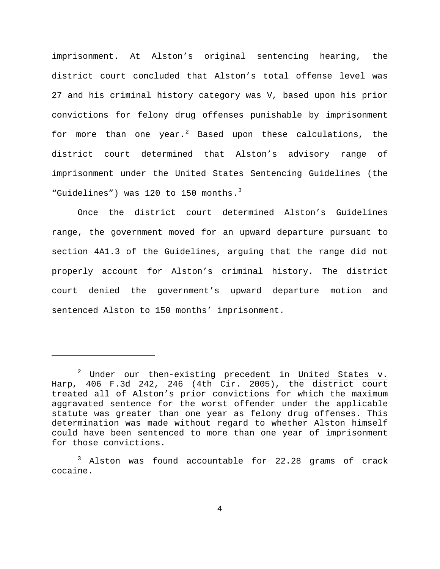imprisonment. At Alston's original sentencing hearing, the district court concluded that Alston's total offense level was 27 and his criminal history category was V, based upon his prior convictions for felony drug offenses punishable by imprisonment for more than one year. $^2$  $^2$  Based upon these calculations, the district court determined that Alston's advisory range of imprisonment under the United States Sentencing Guidelines (the "Guidelines") was 120 to 150 months. $3$ 

Once the district court determined Alston's Guidelines range, the government moved for an upward departure pursuant to section 4A1.3 of the Guidelines, arguing that the range did not properly account for Alston's criminal history. The district court denied the government's upward departure motion and sentenced Alston to 150 months' imprisonment.

ī

<span id="page-3-0"></span> $2$  Under our then-existing precedent in United States v. Harp, 406 F.3d 242, 246 (4th Cir. 2005), the district court treated all of Alston's prior convictions for which the maximum aggravated sentence for the worst offender under the applicable statute was greater than one year as felony drug offenses. This determination was made without regard to whether Alston himself could have been sentenced to more than one year of imprisonment for those convictions.

<span id="page-3-1"></span><sup>&</sup>lt;sup>3</sup> Alston was found accountable for 22.28 grams of crack cocaine.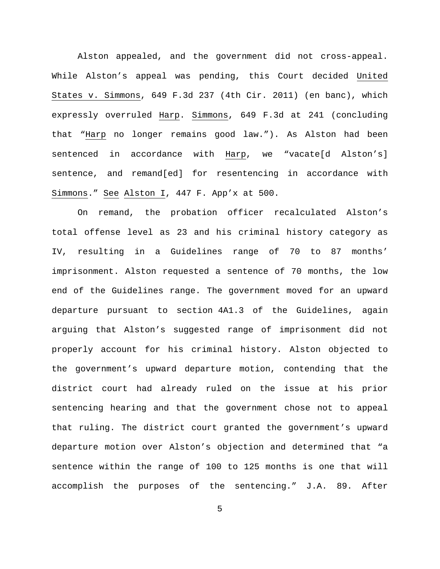Alston appealed, and the government did not cross-appeal. While Alston's appeal was pending, this Court decided United States v. Simmons, 649 F.3d 237 (4th Cir. 2011) (en banc), which expressly overruled Harp. Simmons, 649 F.3d at 241 (concluding that "Harp no longer remains good law."). As Alston had been sentenced in accordance with Harp, we "vacate[d Alston's] sentence, and remand[ed] for resentencing in accordance with Simmons." See Alston I, 447 F. App'x at 500.

On remand, the probation officer recalculated Alston's total offense level as 23 and his criminal history category as IV, resulting in a Guidelines range of 70 to 87 months' imprisonment. Alston requested a sentence of 70 months, the low end of the Guidelines range. The government moved for an upward departure pursuant to section 4A1.3 of the Guidelines, again arguing that Alston's suggested range of imprisonment did not properly account for his criminal history. Alston objected to the government's upward departure motion, contending that the district court had already ruled on the issue at his prior sentencing hearing and that the government chose not to appeal that ruling. The district court granted the government's upward departure motion over Alston's objection and determined that "a sentence within the range of 100 to 125 months is one that will accomplish the purposes of the sentencing." J.A. 89. After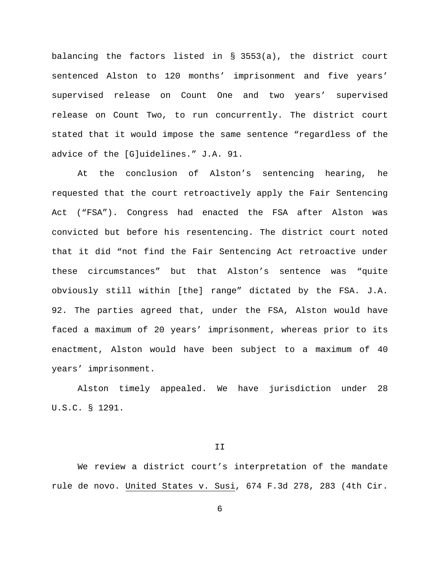balancing the factors listed in § 3553(a), the district court sentenced Alston to 120 months' imprisonment and five years' supervised release on Count One and two years' supervised release on Count Two, to run concurrently. The district court stated that it would impose the same sentence "regardless of the advice of the [G]uidelines." J.A. 91.

At the conclusion of Alston's sentencing hearing, he requested that the court retroactively apply the Fair Sentencing Act ("FSA"). Congress had enacted the FSA after Alston was convicted but before his resentencing. The district court noted that it did "not find the Fair Sentencing Act retroactive under these circumstances" but that Alston's sentence was "quite obviously still within [the] range" dictated by the FSA. J.A. 92. The parties agreed that, under the FSA, Alston would have faced a maximum of 20 years' imprisonment, whereas prior to its enactment, Alston would have been subject to a maximum of 40 years' imprisonment.

Alston timely appealed. We have jurisdiction under 28 U.S.C. § 1291.

II

We review a district court's interpretation of the mandate rule de novo. United States v. Susi, 674 F.3d 278, 283 (4th Cir.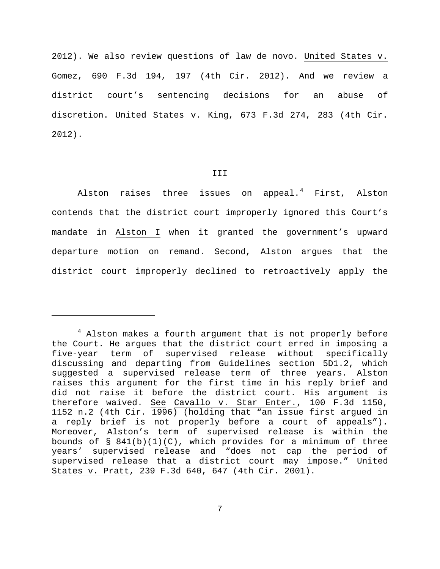2012). We also review questions of law de novo. United States v. Gomez, 690 F.3d 194, 197 (4th Cir. 2012). And we review a district court's sentencing decisions for an abuse of discretion. United States v. King, 673 F.3d 274, 283 (4th Cir. 2012).

## III

Alston raises three issues on appeal.<sup>[4](#page-6-0)</sup> First, Alston contends that the district court improperly ignored this Court's mandate in Alston I when it granted the government's upward departure motion on remand. Second, Alston argues that the district court improperly declined to retroactively apply the

Ĩ.

<span id="page-6-0"></span> $4$  Alston makes a fourth argument that is not properly before the Court. He argues that the district court erred in imposing a five-year term of supervised release without specifically discussing and departing from Guidelines section 5D1.2, which suggested a supervised release term of three years. Alston raises this argument for the first time in his reply brief and did not raise it before the district court. His argument is therefore waived. See Cavallo v. Star Enter., 100 F.3d 1150, 1152 n.2 (4th Cir. 1996) (holding that "an issue first argued in a reply brief is not properly before a court of appeals"). Moreover, Alston's term of supervised release is within the bounds of  $\S$  841(b)(1)(C), which provides for a minimum of three years' supervised release and "does not cap the period of supervised release that a district court may impose." United States v. Pratt, 239 F.3d 640, 647 (4th Cir. 2001).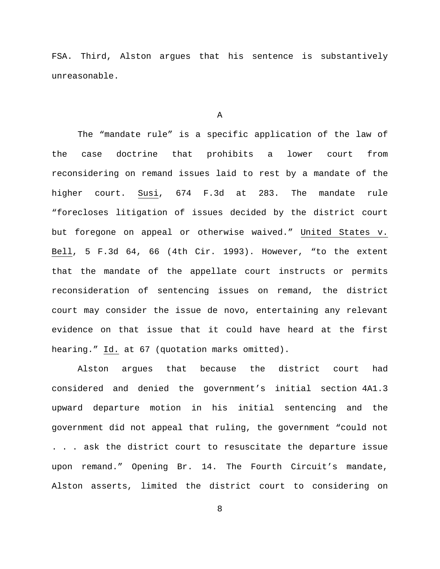FSA. Third, Alston argues that his sentence is substantively unreasonable.

A

The "mandate rule" is a specific application of the law of the case doctrine that prohibits a lower court from reconsidering on remand issues laid to rest by a mandate of the higher court. Susi, 674 F.3d at 283. The mandate rule "forecloses litigation of issues decided by the district court but foregone on appeal or otherwise waived." United States v. Bell, 5 F.3d 64, 66 (4th Cir. 1993). However, "to the extent that the mandate of the appellate court instructs or permits reconsideration of sentencing issues on remand, the district court may consider the issue de novo, entertaining any relevant evidence on that issue that it could have heard at the first hearing." Id. at 67 (quotation marks omitted).

Alston argues that because the district court had considered and denied the government's initial section 4A1.3 upward departure motion in his initial sentencing and the government did not appeal that ruling, the government "could not . . . ask the district court to resuscitate the departure issue upon remand." Opening Br. 14. The Fourth Circuit's mandate, Alston asserts, limited the district court to considering on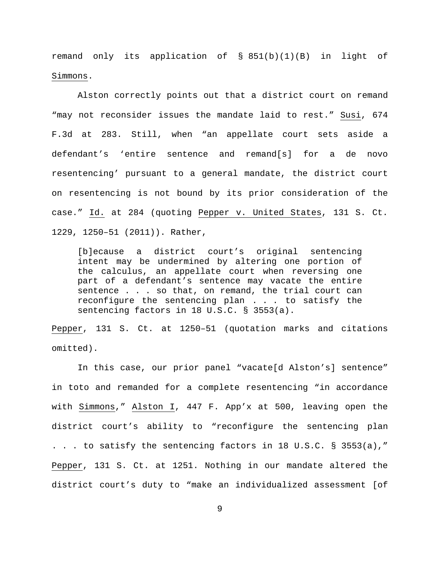remand only its application of § 851(b)(1)(B) in light of Simmons.

Alston correctly points out that a district court on remand "may not reconsider issues the mandate laid to rest." Susi, 674 F.3d at 283. Still, when "an appellate court sets aside a defendant's 'entire sentence and remand[s] for a de novo resentencing' pursuant to a general mandate, the district court on resentencing is not bound by its prior consideration of the case." Id. at 284 (quoting Pepper v. United States, 131 S. Ct. 1229, 1250–51 (2011)). Rather,

[b]ecause a district court's original sentencing intent may be undermined by altering one portion of the calculus, an appellate court when reversing one part of a defendant's sentence may vacate the entire sentence . . . so that, on remand, the trial court can reconfigure the sentencing plan . . . to satisfy the sentencing factors in 18 U.S.C. § 3553(a).

Pepper, 131 S. Ct. at 1250–51 (quotation marks and citations omitted).

In this case, our prior panel "vacate[d Alston's] sentence" in toto and remanded for a complete resentencing "in accordance with Simmons," Alston I, 447 F. App'x at 500, leaving open the district court's ability to "reconfigure the sentencing plan . . . to satisfy the sentencing factors in 18 U.S.C. § 3553(a)," Pepper, 131 S. Ct. at 1251. Nothing in our mandate altered the district court's duty to "make an individualized assessment [of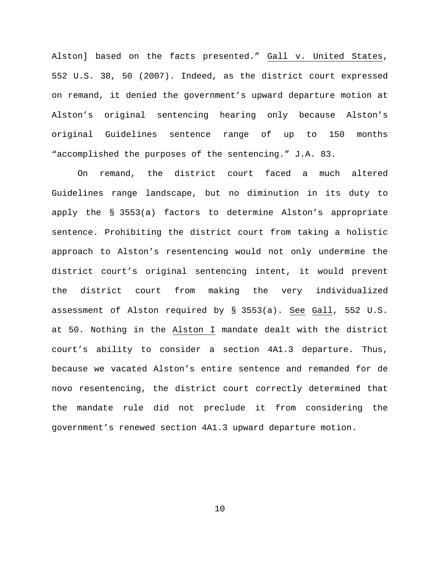Alston] based on the facts presented." Gall v. United States, 552 U.S. 38, 50 (2007). Indeed, as the district court expressed on remand, it denied the government's upward departure motion at Alston's original sentencing hearing only because Alston's original Guidelines sentence range of up to 150 months "accomplished the purposes of the sentencing." J.A. 83.

On remand, the district court faced a much altered Guidelines range landscape, but no diminution in its duty to apply the § 3553(a) factors to determine Alston's appropriate sentence. Prohibiting the district court from taking a holistic approach to Alston's resentencing would not only undermine the district court's original sentencing intent, it would prevent the district court from making the very individualized assessment of Alston required by § 3553(a). See Gall, 552 U.S. at 50. Nothing in the Alston I mandate dealt with the district court's ability to consider a section 4A1.3 departure. Thus, because we vacated Alston's entire sentence and remanded for de novo resentencing, the district court correctly determined that the mandate rule did not preclude it from considering the government's renewed section 4A1.3 upward departure motion.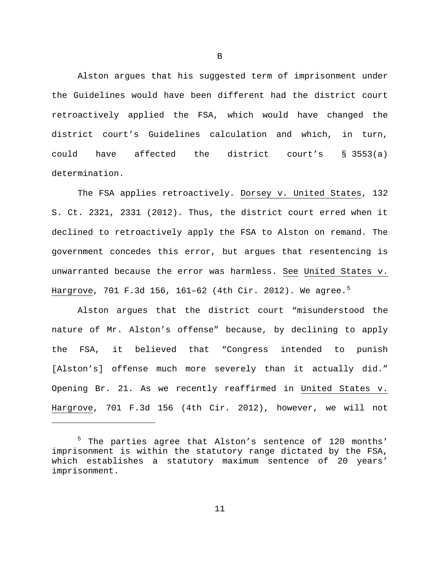Alston argues that his suggested term of imprisonment under the Guidelines would have been different had the district court retroactively applied the FSA, which would have changed the district court's Guidelines calculation and which, in turn, could have affected the district court's § 3553(a) determination.

The FSA applies retroactively. Dorsey v. United States, 132 S. Ct. 2321, 2331 (2012). Thus, the district court erred when it declined to retroactively apply the FSA to Alston on remand. The government concedes this error, but argues that resentencing is unwarranted because the error was harmless. See United States v. Hargrove, 701 F.3d 1[5](#page-10-0)6, 161-62 (4th Cir. 2012). We agree.<sup>5</sup>

Alston argues that the district court "misunderstood the nature of Mr. Alston's offense" because, by declining to apply the FSA, it believed that "Congress intended to punish [Alston's] offense much more severely than it actually did." Opening Br. 21. As we recently reaffirmed in United States v. Hargrove, 701 F.3d 156 (4th Cir. 2012), however, we will not

Ĩ.

B

<span id="page-10-0"></span><sup>&</sup>lt;sup>5</sup> The parties agree that Alston's sentence of 120 months' imprisonment is within the statutory range dictated by the FSA, which establishes a statutory maximum sentence of 20 years' imprisonment.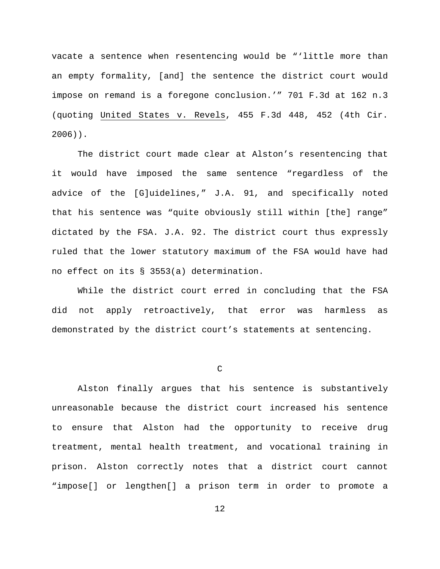vacate a sentence when resentencing would be "'little more than an empty formality, [and] the sentence the district court would impose on remand is a foregone conclusion.'" 701 F.3d at 162 n.3 (quoting United States v. Revels, 455 F.3d 448, 452 (4th Cir. 2006)).

The district court made clear at Alston's resentencing that it would have imposed the same sentence "regardless of the advice of the [G]uidelines," J.A. 91, and specifically noted that his sentence was "quite obviously still within [the] range" dictated by the FSA. J.A. 92. The district court thus expressly ruled that the lower statutory maximum of the FSA would have had no effect on its § 3553(a) determination.

While the district court erred in concluding that the FSA did not apply retroactively, that error was harmless as demonstrated by the district court's statements at sentencing.

 $\mathcal{C}$ 

Alston finally argues that his sentence is substantively unreasonable because the district court increased his sentence to ensure that Alston had the opportunity to receive drug treatment, mental health treatment, and vocational training in prison. Alston correctly notes that a district court cannot "impose[] or lengthen[] a prison term in order to promote a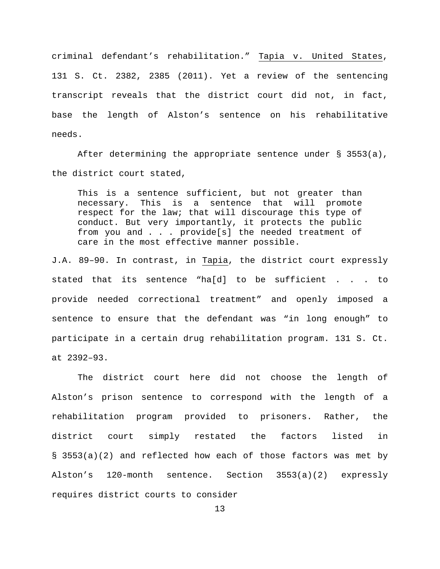criminal defendant's rehabilitation." Tapia v. United States, 131 S. Ct. 2382, 2385 (2011). Yet a review of the sentencing transcript reveals that the district court did not, in fact, base the length of Alston's sentence on his rehabilitative needs.

After determining the appropriate sentence under § 3553(a), the district court stated,

This is a sentence sufficient, but not greater than necessary. This is a sentence that will promote respect for the law; that will discourage this type of conduct. But very importantly, it protects the public from you and . . . provide[s] the needed treatment of care in the most effective manner possible.

J.A. 89–90. In contrast, in Tapia, the district court expressly stated that its sentence "ha[d] to be sufficient . . . to provide needed correctional treatment" and openly imposed a sentence to ensure that the defendant was "in long enough" to participate in a certain drug rehabilitation program. 131 S. Ct. at 2392–93.

The district court here did not choose the length of Alston's prison sentence to correspond with the length of a rehabilitation program provided to prisoners. Rather, the district court simply restated the factors listed in § 3553(a)(2) and reflected how each of those factors was met by Alston's 120-month sentence. Section 3553(a)(2) expressly requires district courts to consider